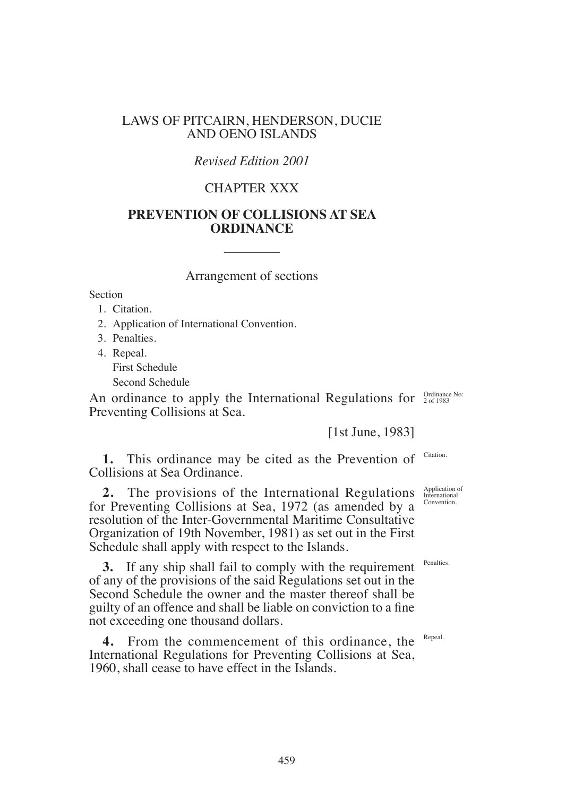## LAWS OF PITCAIRN, HENDERSON, DUCIE AND OENO ISLANDS

# *Revised Edition 2001*

# CHAPTER XXX

# **PREVENTION OF COLLISIONS AT SEA ORDINANCE**

# Arrangement of sections

## Section

- 1. Citation.
- 2. Application of International Convention.
- 3. Penalties.
- 4. Repeal. First Schedule Second Schedule

An ordinance to apply the International Regulations for  $\frac{\text{Ord}_{\text{name}}}{2 \text{ of } 1983}$ Preventing Collisions at Sea.

[1st June, 1983]

**1.** This ordinance may be cited as the Prevention of Collisions at Sea Ordinance. Citation.

**2.** The provisions of the International Regulations for Preventing Collisions at Sea, 1972 (as amended by a resolution of the Inter-Governmental Maritime Consultative Organization of 19th November, 1981) as set out in the First Schedule shall apply with respect to the Islands.

**3.** If any ship shall fail to comply with the requirement of any of the provisions of the said Regulations set out in the Second Schedule the owner and the master thereof shall be guilty of an offence and shall be liable on conviction to a fine not exceeding one thousand dollars.

**4.** From the commencement of this ordinance, the International Regulations for Preventing Collisions at Sea, 1960, shall cease to have effect in the Islands.

Application of International Convention.

Penalties.

Repeal.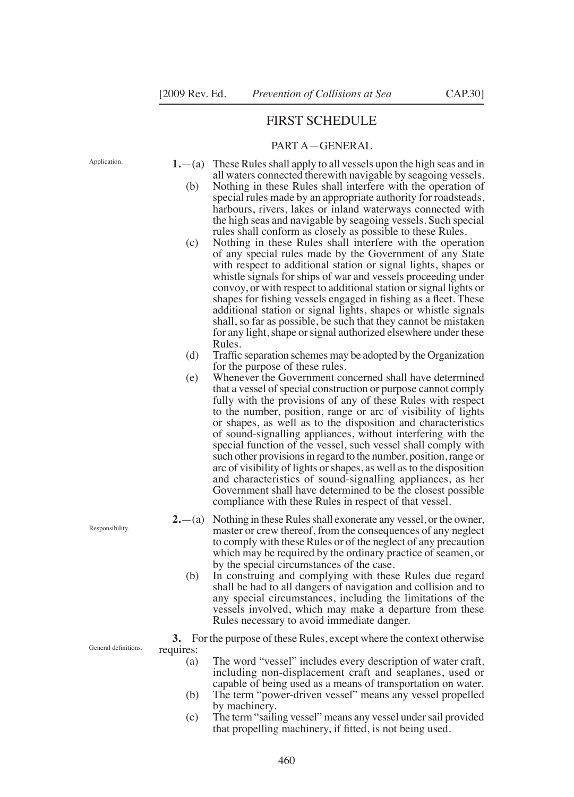### FIRST SCHEDULE

### PART A—GENERAL

**1.**—(a) These Rules shall apply to all vessels upon the high seas and in all waters connected therewith navigable by seagoing vessels.

- (b) Nothing in these Rules shall interfere with the operation of special rules made by an appropriate authority for roadsteads, harbours, rivers, lakes or inland waterways connected with the high seas and navigable by seagoing vessels. Such special rules shall conform as closely as possible to these Rules.
- (c) Nothing in these Rules shall interfere with the operation of any special rules made by the Government of any State with respect to additional station or signal lights, shapes or whistle signals for ships of war and vessels proceeding under convoy, or with respect to additional station or signal lights or shapes for fishing vessels engaged in fishing as a fleet. These additional station or signal lights, shapes or whistle signals shall, so far as possible, be such that they cannot be mistaken for any light, shape or signal authorized elsewhere under these Rules.
- (d) Trafic separation schemes may be adopted by the Organization for the purpose of these rules.
- (e) Whenever the Government concerned shall have determined that a vessel of special construction or purpose cannot comply fully with the provisions of any of these Rules with respect to the number, position, range or arc of visibility of lights or shapes, as well as to the disposition and characteristics of sound-signalling appliances, without interfering with the special function of the vessel, such vessel shall comply with such other provisions in regard to the number, position, range or arc of visibility of lights or shapes, as well as to the disposition and characteristics of sound-signalling appliances, as her Government shall have determined to be the closest possible compliance with these Rules in respect of that vessel.
- **2.**—(a) Nothing in these Rules shall exonerate any vessel, or the owner, master or crew thereof, from the consequences of any neglect to comply with these Rules or of the neglect of any precaution which may be required by the ordinary practice of seamen, or by the special circumstances of the case.
	- (b) In construing and complying with these Rules due regard shall be had to all dangers of navigation and collision and to any special circumstances, including the limitations of the vessels involved, which may make a departure from these Rules necessary to avoid immediate danger.

**3.** For the purpose of these Rules, except where the context otherwise requires:

- (a) The word "vessel" includes every description of water craft, including non-displacement craft and seaplanes, used or capable of being used as a means of transportation on water.
- (b) The term "power-driven vessel" means any vessel propelled by machinery.
- (c) The term "sailing vessel" means any vessel under sail provided that propelling machinery, if fitted, is not being used.

Responsibility.

Application.

General definitions.

460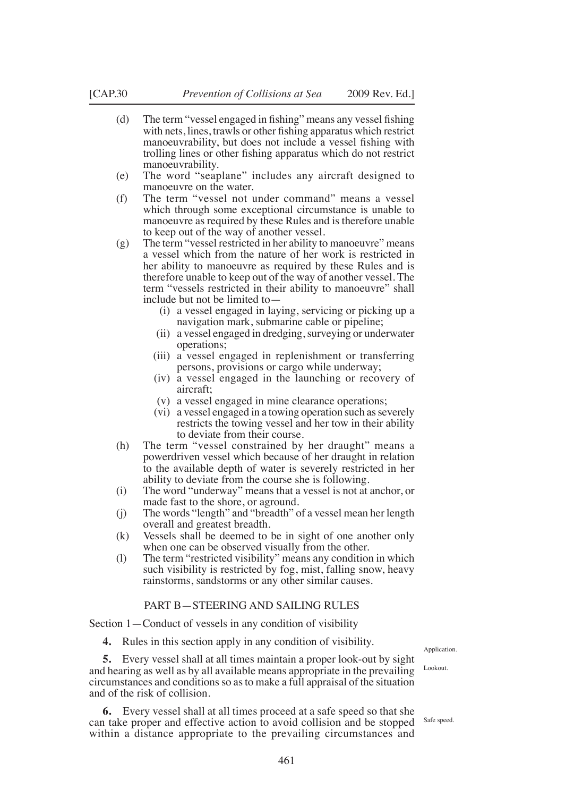- (d) The term "vessel engaged in fishing" means any vessel fishing with nets, lines, trawls or other fishing apparatus which restrict manoeuvrability, but does not include a vessel fishing with trolling lines or other ishing apparatus which do not restrict manoeuvrability.
- (e) The word "seaplane" includes any aircraft designed to manoeuvre on the water.
- (f) The term "vessel not under command" means a vessel which through some exceptional circumstance is unable to manoeuvre as required by these Rules and is therefore unable to keep out of the way of another vessel.
- (g) The term "vessel restricted in her ability to manoeuvre" means a vessel which from the nature of her work is restricted in her ability to manoeuvre as required by these Rules and is therefore unable to keep out of the way of another vessel. The term "vessels restricted in their ability to manoeuvre" shall include but not be limited to—
	- (i) a vessel engaged in laying, servicing or picking up a navigation mark, submarine cable or pipeline;
	- (ii) a vessel engaged in dredging, surveying or underwater operations;
	- (iii) a vessel engaged in replenishment or transferring persons, provisions or cargo while underway;
	- (iv) a vessel engaged in the launching or recovery of aircraft;
	- (v) a vessel engaged in mine clearance operations;
	- (vi) a vessel engaged in a towing operation such as severely restricts the towing vessel and her tow in their ability to deviate from their course.
- (h) The term "vessel constrained by her draught" means a powerdriven vessel which because of her draught in relation to the available depth of water is severely restricted in her ability to deviate from the course she is following.
- (i) The word "underway" means that a vessel is not at anchor, or made fast to the shore, or aground.
- (j) The words "length" and "breadth" of a vessel mean her length overall and greatest breadth.
- (k) Vessels shall be deemed to be in sight of one another only when one can be observed visually from the other.
- (l) The term "restricted visibility" means any condition in which such visibility is restricted by fog, mist, falling snow, heavy rainstorms, sandstorms or any other similar causes.

### PART B—STEERING AND SAILING RULES

Section 1—Conduct of vessels in any condition of visibility

**4.** Rules in this section apply in any condition of visibility.

**5.** Every vessel shall at all times maintain a proper look-out by sight and hearing as well as by all available means appropriate in the prevailing circumstances and conditions so as to make a full appraisal of the situation and of the risk of collision.

**6.** Every vessel shall at all times proceed at a safe speed so that she can take proper and effective action to avoid collision and be stopped within a distance appropriate to the prevailing circumstances and

Application.

Lookout.

Safe speed.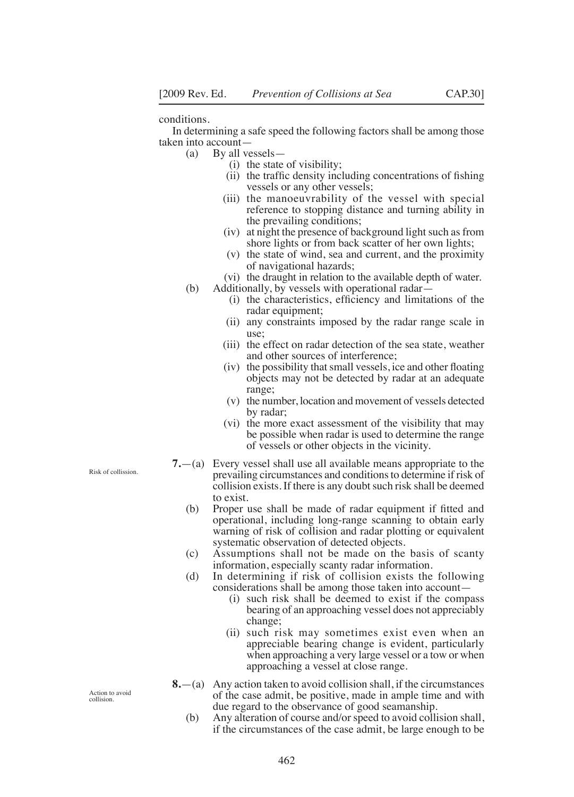conditions.

In determining a safe speed the following factors shall be among those taken into account—<br>(a) By all ve

By all vessels—

- (i) the state of visibility;
- (ii) the trafic density including concentrations of ishing vessels or any other vessels;
- (iii) the manoeuvrability of the vessel with special reference to stopping distance and turning ability in the prevailing conditions;
- (iv) at night the presence of background light such as from shore lights or from back scatter of her own lights;
- (v) the state of wind, sea and current, and the proximity of navigational hazards;
- (vi) the draught in relation to the available depth of water.<br>(b) Additionally, by vessels with operational radar—
- Additionally, by vessels with operational radar—
	- (i) the characteristics, eficiency and limitations of the radar equipment;
	- (ii) any constraints imposed by the radar range scale in use;
	- (iii) the effect on radar detection of the sea state, weather and other sources of interference;
	- (iv) the possibility that small vessels, ice and other floating objects may not be detected by radar at an adequate range;
	- (v) the number, location and movement of vessels detected by radar;
	- (vi) the more exact assessment of the visibility that may be possible when radar is used to determine the range of vessels or other objects in the vicinity.
- **7.**—(a) Every vessel shall use all available means appropriate to the prevailing circumstances and conditions to determine if risk of collision exists. If there is any doubt such risk shall be deemed to exist.
	- (b) Proper use shall be made of radar equipment if fitted and operational, including long-range scanning to obtain early warning of risk of collision and radar plotting or equivalent systematic observation of detected objects.
	- (c) Assumptions shall not be made on the basis of scanty information, especially scanty radar information.
	- (d) In determining if risk of collision exists the following considerations shall be among those taken into account—
		- (i) such risk shall be deemed to exist if the compass bearing of an approaching vessel does not appreciably change;
		- (ii) such risk may sometimes exist even when an appreciable bearing change is evident, particularly when approaching a very large vessel or a tow or when approaching a vessel at close range.
- **8.**—(a) Any action taken to avoid collision shall, if the circumstances of the case admit, be positive, made in ample time and with due regard to the observance of good seamanship.
	- (b) Any alteration of course and/or speed to avoid collision shall, if the circumstances of the case admit, be large enough to be

Risk of collission.

Action to avoid collision.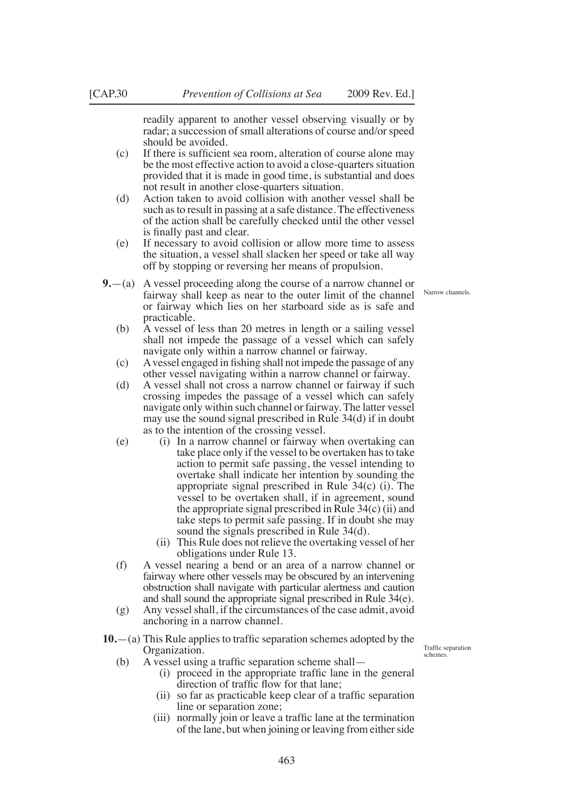readily apparent to another vessel observing visually or by radar; a succession of small alterations of course and/or speed should be avoided.

- (c) If there is suficient sea room, alteration of course alone may be the most effective action to avoid a close-quarters situation provided that it is made in good time, is substantial and does not result in another close-quarters situation.
- (d) Action taken to avoid collision with another vessel shall be such as to result in passing at a safe distance. The effectiveness of the action shall be carefully checked until the other vessel is finally past and clear.
- (e) If necessary to avoid collision or allow more time to assess the situation, a vessel shall slacken her speed or take all way off by stopping or reversing her means of propulsion.
- **9.**—(a) A vessel proceeding along the course of a narrow channel or fairway shall keep as near to the outer limit of the channel or fairway which lies on her starboard side as is safe and practicable.
	- (b) A vessel of less than 20 metres in length or a sailing vessel shall not impede the passage of a vessel which can safely navigate only within a narrow channel or fairway.
	- (c) A vessel engaged in ishing shall not impede the passage of any other vessel navigating within a narrow channel or fairway.
	- (d) A vessel shall not cross a narrow channel or fairway if such crossing impedes the passage of a vessel which can safely navigate only within such channel or fairway. The latter vessel may use the sound signal prescribed in Rule 34(d) if in doubt as to the intention of the crossing vessel.
	- (e) (i) In a narrow channel or fairway when overtaking can take place only if the vessel to be overtaken has to take action to permit safe passing, the vessel intending to overtake shall indicate her intention by sounding the appropriate signal prescribed in Rule 34(c) (i). The vessel to be overtaken shall, if in agreement, sound the appropriate signal prescribed in Rule 34(c) (ii) and take steps to permit safe passing. If in doubt she may sound the signals prescribed in Rule 34(d).
		- (ii) This Rule does not relieve the overtaking vessel of her obligations under Rule 13.
	- (f) A vessel nearing a bend or an area of a narrow channel or fairway where other vessels may be obscured by an intervening obstruction shall navigate with particular alertness and caution and shall sound the appropriate signal prescribed in Rule 34(e).
	- (g) Any vessel shall, if the circumstances of the case admit, avoid anchoring in a narrow channel.
- **10.**—(a) This Rule applies to trafic separation schemes adopted by the Organization.
	- (b) A vessel using a trafic separation scheme shall—
		- (i) proceed in the appropriate trafic lane in the general direction of traffic flow for that lane;
		- (ii) so far as practicable keep clear of a trafic separation line or separation zone;
		- (iii) normally join or leave a trafic lane at the termination of the lane, but when joining or leaving from either side

Trafic separation schemes.

Narrow channels.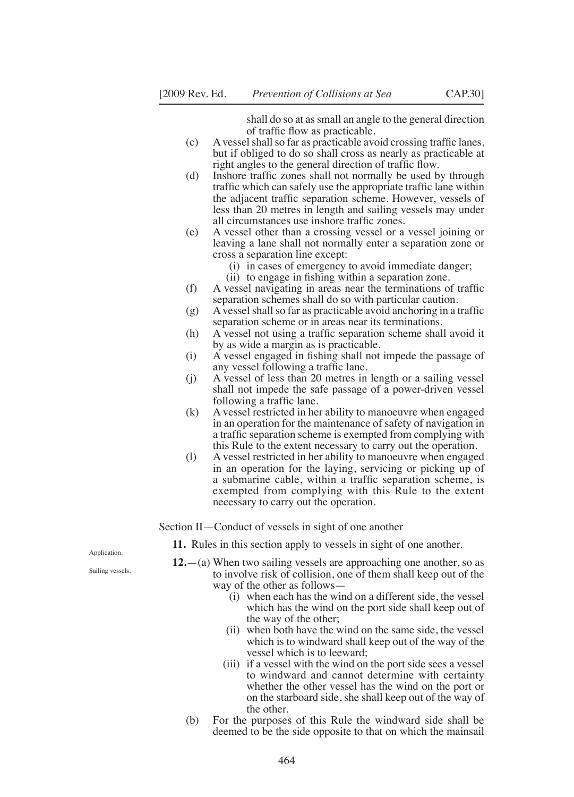shall do so at as small an angle to the general direction of traffic flow as practicable.

- (c) A vessel shall so far as practicable avoid crossing trafic lanes, but if obliged to do so shall cross as nearly as practicable at right angles to the general direction of traffic flow.
- (d) Inshore trafic zones shall not normally be used by through trafic which can safely use the appropriate trafic lane within the adjacent trafic separation scheme. However, vessels of less than 20 metres in length and sailing vessels may under all circumstances use inshore trafic zones.
- (e) A vessel other than a crossing vessel or a vessel joining or leaving a lane shall not normally enter a separation zone or cross a separation line except:
	- (i) in cases of emergency to avoid immediate danger;
- (ii) to engage in fishing within a separation zone.<br>(f) A vessel navigating in areas near the terminations of
- A vessel navigating in areas near the terminations of traffic separation schemes shall do so with particular caution.
- (g) A vessel shall so far as practicable avoid anchoring in a trafic separation scheme or in areas near its terminations.
- (h) A vessel not using a trafic separation scheme shall avoid it by as wide a margin as is practicable.
- (i) A vessel engaged in ishing shall not impede the passage of any vessel following a trafic lane.
- (j) A vessel of less than 20 metres in length or a sailing vessel shall not impede the safe passage of a power-driven vessel following a trafic lane.
- (k) A vessel restricted in her ability to manoeuvre when engaged in an operation for the maintenance of safety of navigation in a trafic separation scheme is exempted from complying with this Rule to the extent necessary to carry out the operation.
- (l) A vessel restricted in her ability to manoeuvre when engaged in an operation for the laying, servicing or picking up of a submarine cable, within a trafic separation scheme, is exempted from complying with this Rule to the extent necessary to carry out the operation.

Section II—Conduct of vessels in sight of one another

**11.** Rules in this section apply to vessels in sight of one another.

Application. Sailing vessels.

- **12.**—(a) When two sailing vessels are approaching one another, so as to involve risk of collision, one of them shall keep out of the way of the other as follows—
	- (i) when each has the wind on a different side, the vessel which has the wind on the port side shall keep out of the way of the other;
	- (ii) when both have the wind on the same side, the vessel which is to windward shall keep out of the way of the vessel which is to leeward;
	- (iii) if a vessel with the wind on the port side sees a vessel to windward and cannot determine with certainty whether the other vessel has the wind on the port or on the starboard side, she shall keep out of the way of the other.
	- (b) For the purposes of this Rule the windward side shall be deemed to be the side opposite to that on which the mainsail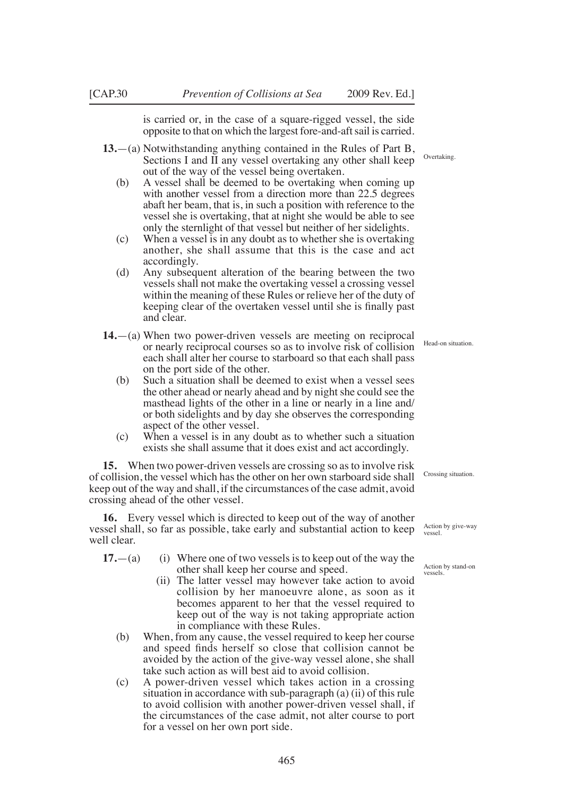is carried or, in the case of a square-rigged vessel, the side opposite to that on which the largest fore-and-aft sail is carried.

- **13.**—(a) Notwithstanding anything contained in the Rules of Part B, Sections I and II any vessel overtaking any other shall keep out of the way of the vessel being overtaken.
	- (b) A vessel shall be deemed to be overtaking when coming up with another vessel from a direction more than 22.5 degrees abaft her beam, that is, in such a position with reference to the vessel she is overtaking, that at night she would be able to see only the sternlight of that vessel but neither of her sidelights.
	- (c) When a vessel is in any doubt as to whether she is overtaking another, she shall assume that this is the case and act accordingly.
	- (d) Any subsequent alteration of the bearing between the two vessels shall not make the overtaking vessel a crossing vessel within the meaning of these Rules or relieve her of the duty of keeping clear of the overtaken vessel until she is finally past and clear.
- **14.**—(a) When two power-driven vessels are meeting on reciprocal or nearly reciprocal courses so as to involve risk of collision each shall alter her course to starboard so that each shall pass on the port side of the other.
	- (b) Such a situation shall be deemed to exist when a vessel sees the other ahead or nearly ahead and by night she could see the masthead lights of the other in a line or nearly in a line and/ or both sidelights and by day she observes the corresponding aspect of the other vessel.
	- (c) When a vessel is in any doubt as to whether such a situation exists she shall assume that it does exist and act accordingly.

**15.** When two power-driven vessels are crossing so as to involve risk of collision, the vessel which has the other on her own starboard side shall keep out of the way and shall, if the circumstances of the case admit, avoid crossing ahead of the other vessel.

**16.** Every vessel which is directed to keep out of the way of another vessel shall, so far as possible, take early and substantial action to keep well clear.

- $17.$ —(a) (i) Where one of two vessels is to keep out of the way the other shall keep her course and speed.
	- (ii) The latter vessel may however take action to avoid collision by her manoeuvre alone, as soon as it becomes apparent to her that the vessel required to keep out of the way is not taking appropriate action in compliance with these Rules.
	- (b) When, from any cause, the vessel required to keep her course and speed inds herself so close that collision cannot be avoided by the action of the give-way vessel alone, she shall take such action as will best aid to avoid collision.
	- (c) A power-driven vessel which takes action in a crossing situation in accordance with sub-paragraph (a) (ii) of this rule to avoid collision with another power-driven vessel shall, if the circumstances of the case admit, not alter course to port for a vessel on her own port side.

Overtaking.

Head-on situation.

Crossing situation.

Action by give-way vessel.

Action by stand-on vessels.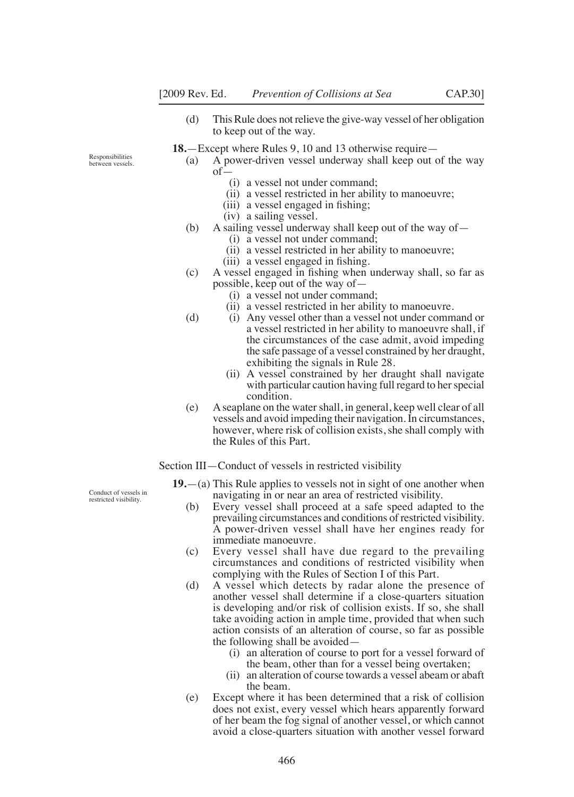(d) This Rule does not relieve the give-way vessel of her obligation to keep out of the way.

**18.**—Except where Rules 9, 10 and 13 otherwise require—

(a) A power-driven vessel underway shall keep out of the way  $of$ 

- (i) a vessel not under command;
- (ii) a vessel restricted in her ability to manoeuvre;
- $(iii)$  a vessel engaged in fishing;
- 
- (iv) a sailing vessel.<br>(b) A sailing vessel underw A sailing vessel underway shall keep out of the way of—
	- (i) a vessel not under command;
	- (ii) a vessel restricted in her ability to manoeuvre;
- (iii) a vessel engaged in fishing.<br>(c) A vessel engaged in fishing when
- A vessel engaged in fishing when underway shall, so far as possible, keep out of the way of—
	- (i) a vessel not under command;
	- (ii) a vessel restricted in her ability to manoeuvre.
- (d) (i) Any vessel other than a vessel not under command or a vessel restricted in her ability to manoeuvre shall, if the circumstances of the case admit, avoid impeding the safe passage of a vessel constrained by her draught, exhibiting the signals in Rule 28.
	- (ii) A vessel constrained by her draught shall navigate with particular caution having full regard to her special condition.
- (e) A seaplane on the water shall, in general, keep well clear of all vessels and avoid impeding their navigation. In circumstances, however, where risk of collision exists, she shall comply with the Rules of this Part.

Section III—Conduct of vessels in restricted visibility

- **19.**—(a) This Rule applies to vessels not in sight of one another when navigating in or near an area of restricted visibility.
	- (b) Every vessel shall proceed at a safe speed adapted to the prevailing circumstances and conditions of restricted visibility. A power-driven vessel shall have her engines ready for immediate manoeuvre.
	- (c) Every vessel shall have due regard to the prevailing circumstances and conditions of restricted visibility when complying with the Rules of Section I of this Part.
	- (d) A vessel which detects by radar alone the presence of another vessel shall determine if a close-quarters situation is developing and/or risk of collision exists. If so, she shall take avoiding action in ample time, provided that when such action consists of an alteration of course, so far as possible the following shall be avoided—
		- (i) an alteration of course to port for a vessel forward of the beam, other than for a vessel being overtaken;
		- (ii) an alteration of course towards a vessel abeam or abaft the beam.
	- (e) Except where it has been determined that a risk of collision does not exist, every vessel which hears apparently forward of her beam the fog signal of another vessel, or which cannot avoid a close-quarters situation with another vessel forward

Conduct of vessels in restricted visibility.

Responsibilities between vessels.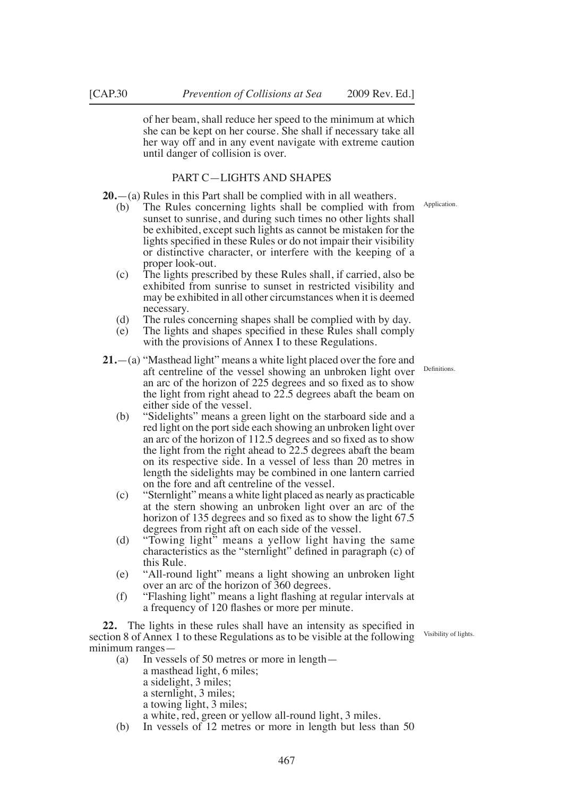of her beam, shall reduce her speed to the minimum at which she can be kept on her course. She shall if necessary take all her way off and in any event navigate with extreme caution until danger of collision is over.

### PART C—LIGHTS AND SHAPES

**20.**—(a) Rules in this Part shall be complied with in all weathers.

- (b) The Rules concerning lights shall be complied with from sunset to sunrise, and during such times no other lights shall be exhibited, except such lights as cannot be mistaken for the lights specified in these Rules or do not impair their visibility or distinctive character, or interfere with the keeping of a proper look-out.
- (c) The lights prescribed by these Rules shall, if carried, also be exhibited from sunrise to sunset in restricted visibility and may be exhibited in all other circumstances when it is deemed necessary.
- (d) The rules concerning shapes shall be complied with by day.
- (e) The lights and shapes speciied in these Rules shall comply with the provisions of Annex I to these Regulations.
- **21.**—(a) "Masthead light" means a white light placed over the fore and aft centreline of the vessel showing an unbroken light over an arc of the horizon of 225 degrees and so fixed as to show the light from right ahead to 22.5 degrees abaft the beam on either side of the vessel.
	- (b) "Sidelights" means a green light on the starboard side and a red light on the port side each showing an unbroken light over an arc of the horizon of 112.5 degrees and so fixed as to show the light from the right ahead to 22.5 degrees abaft the beam on its respective side. In a vessel of less than 20 metres in length the sidelights may be combined in one lantern carried on the fore and aft centreline of the vessel.
	- (c) "Sternlight" means a white light placed as nearly as practicable at the stern showing an unbroken light over an arc of the horizon of 135 degrees and so fixed as to show the light 67.5 degrees from right aft on each side of the vessel.
	- (d) "Towing light" means a yellow light having the same characteristics as the "sternlight" defined in paragraph (c) of this Rule.
	- (e) "All-round light" means a light showing an unbroken light over an arc of the horizon of 360 degrees.
	- (f) "Flashing light" means a light lashing at regular intervals at a frequency of 120 flashes or more per minute.

**22.** The lights in these rules shall have an intensity as specified in section 8 of Annex 1 to these Regulations as to be visible at the following minimum ranges—

- (a) In vessels of 50 metres or more in length a masthead light, 6 miles; a sidelight, 3 miles; a sternlight, 3 miles; a towing light, 3 miles; a white, red, green or yellow all-round light, 3 miles.
- (b) In vessels of 12 metres or more in length but less than 50

Application.

Definitions.

Visibility of lights.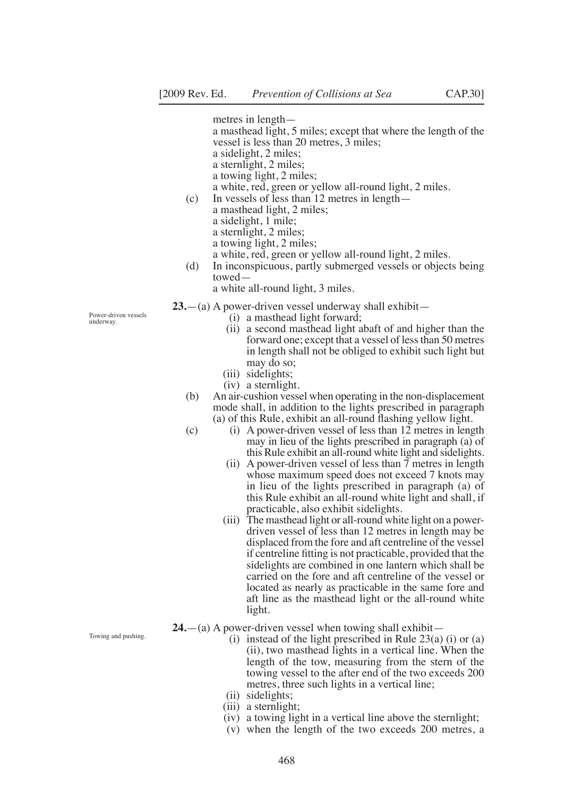$m$ etres in length

|     | $m$ cucs $m$ iquight $-$                                       |
|-----|----------------------------------------------------------------|
|     | a masthead light, 5 miles; except that where the length of the |
|     | vessel is less than 20 metres, 3 miles;                        |
|     | a sidelight, 2 miles;                                          |
|     | a sternlight, 2 miles;                                         |
|     | a towing light, 2 miles;                                       |
|     | a white, red, green or yellow all-round light, 2 miles.        |
| (c) | In vessels of less than 12 metres in length —                  |
|     | a masthead light, 2 miles;                                     |
|     | a sidelight, 1 mile;                                           |
|     | a sternlight, 2 miles;                                         |
|     | a towing light, 2 miles;                                       |
|     | a white, red, green or yellow all-round light, 2 miles.        |
| (d) | In inconspicuous, partly submerged vessels or objects being    |
|     | towed-                                                         |
|     | a white all-round light, 3 miles.                              |
|     |                                                                |

**23.**—(a) A power-driven vessel underway shall exhibit—

- (i) a masthead light forward;
- (ii) a second masthead light abaft of and higher than the forward one; except that a vessel of less than 50 metres in length shall not be obliged to exhibit such light but may do so;
- (iii) sidelights;
- 
- (iv) a sternlight.<br>(b) An air-cushion vesse An air-cushion vessel when operating in the non-displacement mode shall, in addition to the lights prescribed in paragraph  $(a)$  of this Rule, exhibit an all-round flashing yellow light.
- (c) (i) A power-driven vessel of less than 12 metres in length may in lieu of the lights prescribed in paragraph (a) of this Rule exhibit an all-round white light and sidelights.
	- (ii) A power-driven vessel of less than  $\overline{7}$  metres in length whose maximum speed does not exceed 7 knots may in lieu of the lights prescribed in paragraph (a) of this Rule exhibit an all-round white light and shall, if practicable, also exhibit sidelights.
	- (iii) The masthead light or all-round white light on a powerdriven vessel of less than 12 metres in length may be displaced from the fore and aft centreline of the vessel if centreline fitting is not practicable, provided that the sidelights are combined in one lantern which shall be carried on the fore and aft centreline of the vessel or located as nearly as practicable in the same fore and aft line as the masthead light or the all-round white light.

#### **24.**—(a) A power-driven vessel when towing shall exhibit—

- (i) instead of the light prescribed in Rule  $23(a)$  (i) or (a) (ii), two masthead lights in a vertical line. When the length of the tow, measuring from the stern of the towing vessel to the after end of the two exceeds 200 metres, three such lights in a vertical line;
- (ii) sidelights;
- (iii) a sternlight;
- (iv) a towing light in a vertical line above the sternlight;
- (v) when the length of the two exceeds 200 metres, a

Towing and pushing.

Power-driven vessels underway.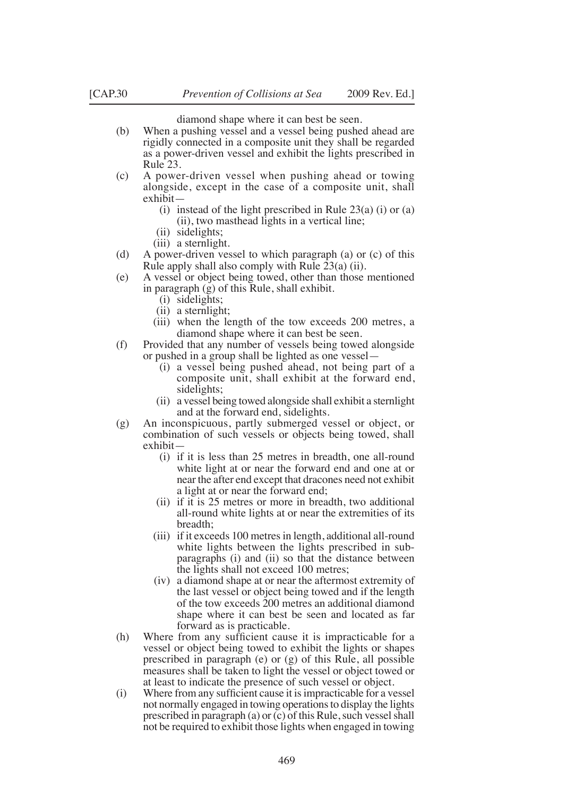diamond shape where it can best be seen.

- (b) When a pushing vessel and a vessel being pushed ahead are rigidly connected in a composite unit they shall be regarded as a power-driven vessel and exhibit the lights prescribed in Rule 23.
- (c) A power-driven vessel when pushing ahead or towing alongside, except in the case of a composite unit, shall exhibit—
	- (i) instead of the light prescribed in Rule  $23(a)$  (i) or (a) (ii), two masthead lights in a vertical line;
	- (ii) sidelights;
	-
- (iii) a sternlight.<br>(d) A power-driven ves A power-driven vessel to which paragraph (a) or  $(c)$  of this Rule apply shall also comply with Rule 23(a) (ii).
- (e) A vessel or object being towed, other than those mentioned in paragraph (g) of this Rule, shall exhibit.
	- (i) sidelights;
	- (ii) a sternlight;
	- (iii) when the length of the tow exceeds 200 metres, a diamond shape where it can best be seen.
- (f) Provided that any number of vessels being towed alongside or pushed in a group shall be lighted as one vessel—
	- (i) a vessel being pushed ahead, not being part of a composite unit, shall exhibit at the forward end, sidelights;
	- (ii) a vessel being towed alongside shall exhibit a sternlight and at the forward end, sidelights.
- (g) An inconspicuous, partly submerged vessel or object, or combination of such vessels or objects being towed, shall exhibit—
	- (i) if it is less than 25 metres in breadth, one all-round white light at or near the forward end and one at or near the after end except that dracones need not exhibit a light at or near the forward end;
	- (ii) if it is 25 metres or more in breadth, two additional all-round white lights at or near the extremities of its breadth;
	- (iii) if it exceeds 100 metres in length, additional all-round white lights between the lights prescribed in subparagraphs (i) and (ii) so that the distance between the lights shall not exceed 100 metres;
	- (iv) a diamond shape at or near the aftermost extremity of the last vessel or object being towed and if the length of the tow exceeds 200 metres an additional diamond shape where it can best be seen and located as far forward as is practicable.
- (h) Where from any suficient cause it is impracticable for a vessel or object being towed to exhibit the lights or shapes prescribed in paragraph (e) or (g) of this Rule, all possible measures shall be taken to light the vessel or object towed or at least to indicate the presence of such vessel or object.
- (i) Where from any suficient cause it is impracticable for a vessel not normally engaged in towing operations to display the lights prescribed in paragraph (a) or (c) of this Rule, such vessel shall not be required to exhibit those lights when engaged in towing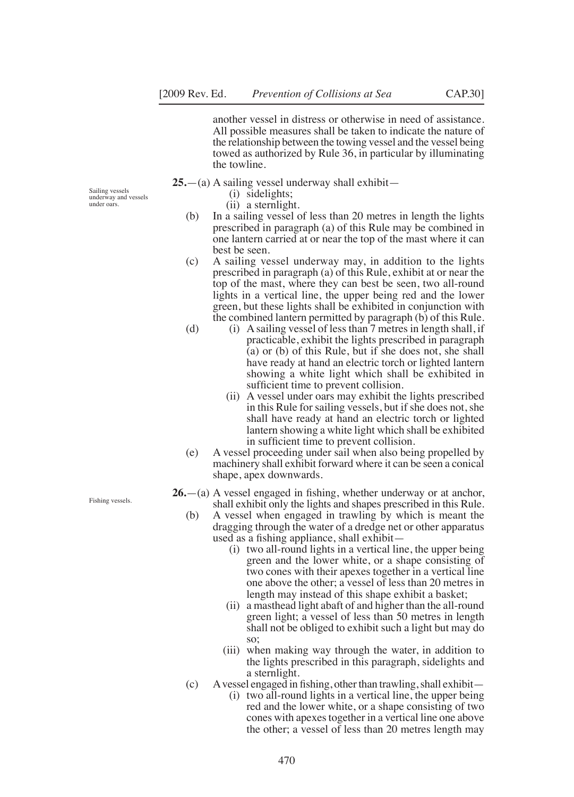another vessel in distress or otherwise in need of assistance. All possible measures shall be taken to indicate the nature of the relationship between the towing vessel and the vessel being towed as authorized by Rule 36, in particular by illuminating the towline.

- **25.**—(a) A sailing vessel underway shall exhibit—
	- (i) sidelights;
- - (ii) a sternlight.
	- (b) In a sailing vessel of less than 20 metres in length the lights prescribed in paragraph (a) of this Rule may be combined in one lantern carried at or near the top of the mast where it can best be seen.
	- (c) A sailing vessel underway may, in addition to the lights prescribed in paragraph (a) of this Rule, exhibit at or near the top of the mast, where they can best be seen, two all-round lights in a vertical line, the upper being red and the lower green, but these lights shall be exhibited in conjunction with the combined lantern permitted by paragraph (b) of this Rule.
	- (d) (i) A sailing vessel of less than 7 metres in length shall, if practicable, exhibit the lights prescribed in paragraph (a) or (b) of this Rule, but if she does not, she shall have ready at hand an electric torch or lighted lantern showing a white light which shall be exhibited in suficient time to prevent collision.
		- (ii) A vessel under oars may exhibit the lights prescribed in this Rule for sailing vessels, but if she does not, she shall have ready at hand an electric torch or lighted lantern showing a white light which shall be exhibited in suficient time to prevent collision.
	- (e) A vessel proceeding under sail when also being propelled by machinery shall exhibit forward where it can be seen a conical shape, apex downwards.
- **26.**—(a) A vessel engaged in fishing, whether underway or at anchor, shall exhibit only the lights and shapes prescribed in this Rule.
	- (b) A vessel when engaged in trawling by which is meant the dragging through the water of a dredge net or other apparatus used as a fishing appliance, shall exhibit—
		- (i) two all-round lights in a vertical line, the upper being green and the lower white, or a shape consisting of two cones with their apexes together in a vertical line one above the other; a vessel of less than 20 metres in length may instead of this shape exhibit a basket;
		- (ii) a masthead light abaft of and higher than the all-round green light; a vessel of less than 50 metres in length shall not be obliged to exhibit such a light but may do so;
		- (iii) when making way through the water, in addition to the lights prescribed in this paragraph, sidelights and a sternlight.
	- $(c)$  A vessel engaged in fishing, other than trawling, shall exhibit—
		- (i) two all-round lights in a vertical line, the upper being red and the lower white, or a shape consisting of two cones with apexes together in a vertical line one above the other; a vessel of less than 20 metres length may

Sailing vessels underway and vessels under oars.

Fishing vessels.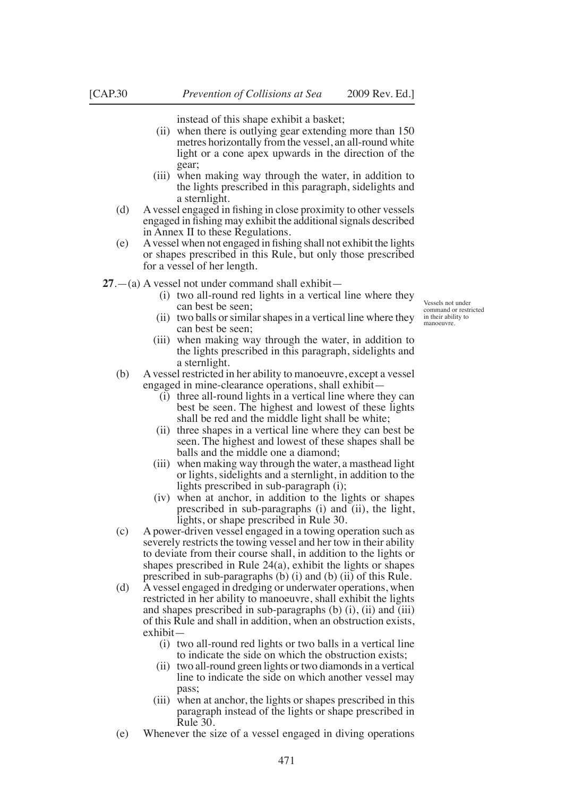instead of this shape exhibit a basket;

- (ii) when there is outlying gear extending more than 150 metres horizontally from the vessel, an all-round white light or a cone apex upwards in the direction of the gear;
- (iii) when making way through the water, in addition to the lights prescribed in this paragraph, sidelights and a sternlight.
- (d) A vessel engaged in fishing in close proximity to other vessels engaged in fishing may exhibit the additional signals described in Annex II to these Regulations.
- (e) A vessel when not engaged in fishing shall not exhibit the lights or shapes prescribed in this Rule, but only those prescribed for a vessel of her length.
- **27**.—(a) A vessel not under command shall exhibit—
	- (i) two all-round red lights in a vertical line where they can best be seen;
	- (ii) two balls or similar shapes in a vertical line where they can best be seen;
	- (iii) when making way through the water, in addition to the lights prescribed in this paragraph, sidelights and a sternlight.
	- (b) A vessel restricted in her ability to manoeuvre, except a vessel engaged in mine-clearance operations, shall exhibit—
		- $(i)$  three all-round lights in a vertical line where they can best be seen. The highest and lowest of these lights shall be red and the middle light shall be white;
		- (ii) three shapes in a vertical line where they can best be seen. The highest and lowest of these shapes shall be balls and the middle one a diamond;
		- (iii) when making way through the water, a masthead light or lights, sidelights and a sternlight, in addition to the lights prescribed in sub-paragraph (i);
		- (iv) when at anchor, in addition to the lights or shapes prescribed in sub-paragraphs (i) and (ii), the light, lights, or shape prescribed in Rule 30.
	- (c) A power-driven vessel engaged in a towing operation such as severely restricts the towing vessel and her tow in their ability to deviate from their course shall, in addition to the lights or shapes prescribed in Rule 24(a), exhibit the lights or shapes prescribed in sub-paragraphs (b) (i) and (b) (ii) of this Rule.
	- (d) A vessel engaged in dredging or underwater operations, when restricted in her ability to manoeuvre, shall exhibit the lights and shapes prescribed in sub-paragraphs  $(b)$   $(i)$ ,  $(ii)$  and  $(iii)$ of this Rule and shall in addition, when an obstruction exists, exhibit—
		- (i) two all-round red lights or two balls in a vertical line to indicate the side on which the obstruction exists;
		- (ii) two all-round green lights or two diamonds in a vertical line to indicate the side on which another vessel may pass;
		- (iii) when at anchor, the lights or shapes prescribed in this paragraph instead of the lights or shape prescribed in Rule 30.
	- (e) Whenever the size of a vessel engaged in diving operations

Vessels not under command or restricted in their ability to manoeuvre.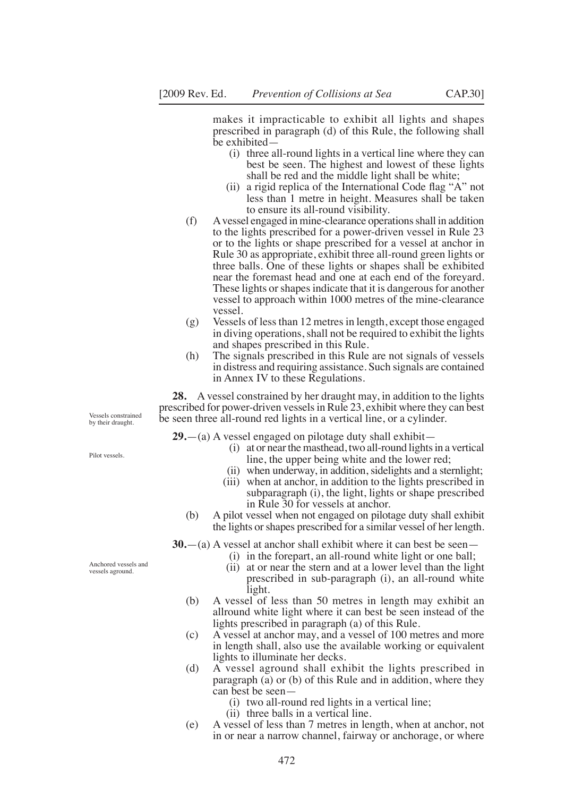makes it impracticable to exhibit all lights and shapes prescribed in paragraph (d) of this Rule, the following shall be exhibited—

- (i) three all-round lights in a vertical line where they can best be seen. The highest and lowest of these lights shall be red and the middle light shall be white;
- (ii) a rigid replica of the International Code flag "A" not less than 1 metre in height. Measures shall be taken to ensure its all-round visibility.
- (f) A vessel engaged in mine-clearance operations shall in addition to the lights prescribed for a power-driven vessel in Rule 23 or to the lights or shape prescribed for a vessel at anchor in Rule 30 as appropriate, exhibit three all-round green lights or three balls. One of these lights or shapes shall be exhibited near the foremast head and one at each end of the foreyard. These lights or shapes indicate that it is dangerous for another vessel to approach within 1000 metres of the mine-clearance vessel.
- (g) Vessels of less than 12 metres in length, except those engaged in diving operations, shall not be required to exhibit the lights and shapes prescribed in this Rule.
- (h) The signals prescribed in this Rule are not signals of vessels in distress and requiring assistance. Such signals are contained in Annex IV to these Regulations.

**28.** A vessel constrained by her draught may, in addition to the lights prescribed for power-driven vessels in Rule 23, exhibit where they can best be seen three all-round red lights in a vertical line, or a cylinder.

**29.**—(a) A vessel engaged on pilotage duty shall exhibit—

- (i) at or near the masthead, two all-round lights in a vertical line, the upper being white and the lower red;
- (ii) when underway, in addition, sidelights and a sternlight;
- (iii) when at anchor, in addition to the lights prescribed in subparagraph (i), the light, lights or shape prescribed in Rule 30 for vessels at anchor.
- (b) A pilot vessel when not engaged on pilotage duty shall exhibit the lights or shapes prescribed for a similar vessel of her length.

**30.**—(a) A vessel at anchor shall exhibit where it can best be seen—

(i) in the forepart, an all-round white light or one ball;

- (ii) at or near the stern and at a lower level than the light prescribed in sub-paragraph (i), an all-round white light.
- (b) A vessel of less than 50 metres in length may exhibit an allround white light where it can best be seen instead of the lights prescribed in paragraph (a) of this Rule.
- (c) A vessel at anchor may, and a vessel of 100 metres and more in length shall, also use the available working or equivalent lights to illuminate her decks.
- (d) A vessel aground shall exhibit the lights prescribed in paragraph  $(a)$  or  $(b)$  of this Rule and in addition, where they can best be seen—
	- (i) two all-round red lights in a vertical line;
	- (ii) three balls in a vertical line.
- (e) A vessel of less than 7 metres in length, when at anchor, not in or near a narrow channel, fairway or anchorage, or where

Vessels constrained by their draught.

Pilot vessels.

Anchored vessels and vessels aground.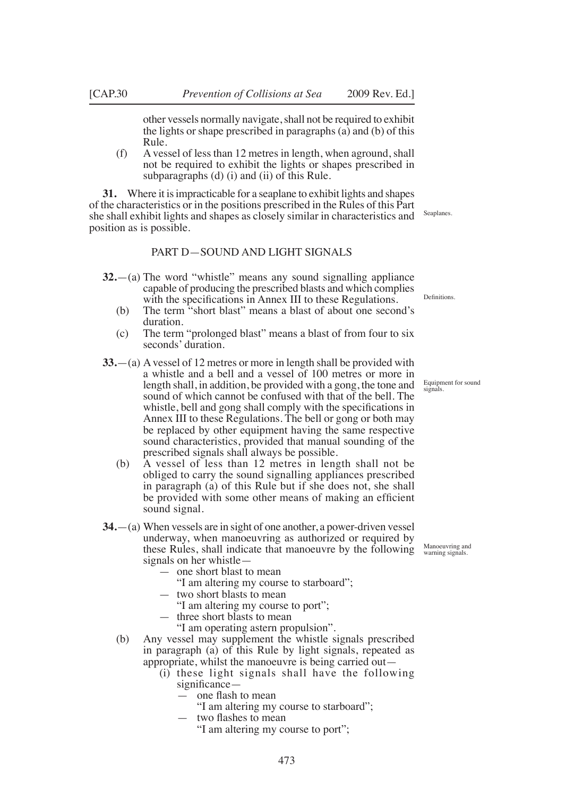other vessels normally navigate, shall not be required to exhibit the lights or shape prescribed in paragraphs  $(a)$  and  $(b)$  of this Rule.

(f) A vessel of less than 12 metres in length, when aground, shall not be required to exhibit the lights or shapes prescribed in subparagraphs (d) (i) and (ii) of this Rule.

**31.** Where it is impracticable for a seaplane to exhibit lights and shapes of the characteristics or in the positions prescribed in the Rules of this Part she shall exhibit lights and shapes as closely similar in characteristics and position as is possible.

### PART D—SOUND AND LIGHT SIGNALS

- **32.**—(a) The word "whistle" means any sound signalling appliance capable of producing the prescribed blasts and which complies with the specifications in Annex III to these Regulations.
	- (b) The term "short blast" means a blast of about one second's duration.
	- (c) The term "prolonged blast" means a blast of from four to six seconds' duration.
- **33.**—(a) A vessel of 12 metres or more in length shall be provided with a whistle and a bell and a vessel of 100 metres or more in length shall, in addition, be provided with a gong, the tone and sound of which cannot be confused with that of the bell. The whistle, bell and gong shall comply with the specifications in Annex III to these Regulations. The bell or gong or both may be replaced by other equipment having the same respective sound characteristics, provided that manual sounding of the prescribed signals shall always be possible.
	- (b) A vessel of less than 12 metres in length shall not be obliged to carry the sound signalling appliances prescribed in paragraph (a) of this Rule but if she does not, she shall be provided with some other means of making an eficient sound signal.
- **34.**—(a) When vessels are in sight of one another, a power-driven vessel underway, when manoeuvring as authorized or required by these Rules, shall indicate that manoeuvre by the following signals on her whistle—
	- one short blast to mean
		- "I am altering my course to starboard";
	- two short blasts to mean
		- "I am altering my course to port";
	- three short blasts to mean
	-
	- "I am operating astern propulsion".<br>
	(b) Any vessel may supplement the whistle s Any vessel may supplement the whistle signals prescribed in paragraph (a) of this Rule by light signals, repeated as appropriate, whilst the manoeuvre is being carried out—
		- (i) these light signals shall have the following significance
			- one flash to mean
				- "I am altering my course to starboard";
			- two flashes to mean
				- "I am altering my course to port";

Manoeuvring and warning signals.

Definitions.

Equipment for sound signals.

Seaplanes.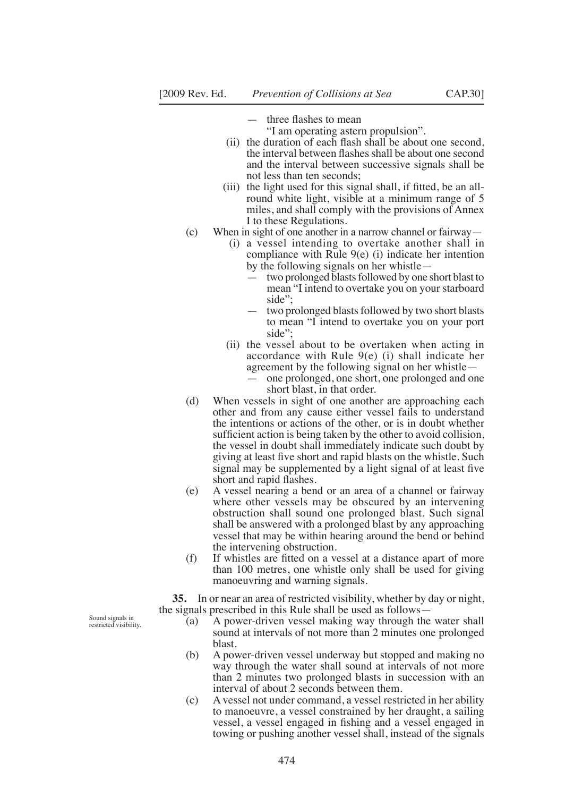- three flashes to mean
- "I am operating astern propulsion".
- (ii) the duration of each flash shall be about one second, the interval between flashes shall be about one second and the interval between successive signals shall be not less than ten seconds;
- (iii) the light used for this signal shall, if fitted, be an allround white light, visible at a minimum range of 5 miles, and shall comply with the provisions of Annex I to these Regulations.
- (c) When in sight of one another in a narrow channel or fairway—
	- (i) a vessel intending to overtake another shall in compliance with Rule 9(e) (i) indicate her intention by the following signals on her whistle
		- two prolonged blasts followed by one short blast to mean "I intend to overtake you on your starboard side";
		- two prolonged blasts followed by two short blasts to mean "I intend to overtake you on your port side":
	- (ii) the vessel about to be overtaken when acting in accordance with Rule 9(e) (i) shall indicate her agreement by the following signal on her whistle—
		- one prolonged, one short, one prolonged and one short blast, in that order.
- (d) When vessels in sight of one another are approaching each other and from any cause either vessel fails to understand the intentions or actions of the other, or is in doubt whether suficient action is being taken by the other to avoid collision, the vessel in doubt shall immediately indicate such doubt by giving at least five short and rapid blasts on the whistle. Such signal may be supplemented by a light signal of at least five short and rapid flashes.
- (e) A vessel nearing a bend or an area of a channel or fairway where other vessels may be obscured by an intervening obstruction shall sound one prolonged blast. Such signal shall be answered with a prolonged blast by any approaching vessel that may be within hearing around the bend or behind the intervening obstruction.
- (f) If whistles are itted on a vessel at a distance apart of more than 100 metres, one whistle only shall be used for giving manoeuvring and warning signals.

**35.** In or near an area of restricted visibility, whether by day or night, the signals prescribed in this Rule shall be used as follows—

- (a) A power-driven vessel making way through the water shall sound at intervals of not more than 2 minutes one prolonged blast.
- (b) A power-driven vessel underway but stopped and making no way through the water shall sound at intervals of not more than 2 minutes two prolonged blasts in succession with an interval of about 2 seconds between them.
- (c) A vessel not under command, a vessel restricted in her ability to manoeuvre, a vessel constrained by her draught, a sailing vessel, a vessel engaged in fishing and a vessel engaged in towing or pushing another vessel shall, instead of the signals

Sound signals in restricted visibility.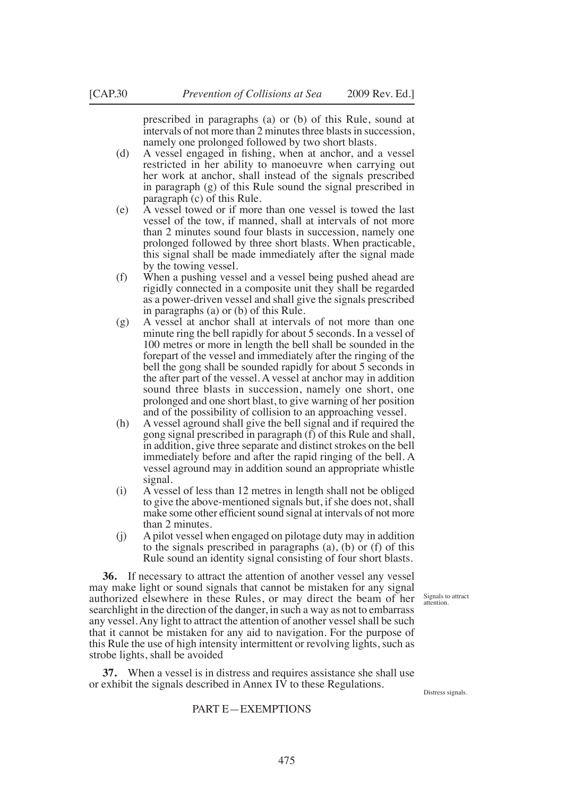prescribed in paragraphs (a) or (b) of this Rule, sound at intervals of not more than 2 minutes three blasts in succession, namely one prolonged followed by two short blasts.

- (d) A vessel engaged in fishing, when at anchor, and a vessel restricted in her ability to manoeuvre when carrying out her work at anchor, shall instead of the signals prescribed in paragraph (g) of this Rule sound the signal prescribed in paragraph (c) of this Rule.
- (e) A vessel towed or if more than one vessel is towed the last vessel of the tow, if manned, shall at intervals of not more than 2 minutes sound four blasts in succession, namely one prolonged followed by three short blasts. When practicable, this signal shall be made immediately after the signal made by the towing vessel.
- (f) When a pushing vessel and a vessel being pushed ahead are rigidly connected in a composite unit they shall be regarded as a power-driven vessel and shall give the signals prescribed in paragraphs (a) or (b) of this Rule.
- (g) A vessel at anchor shall at intervals of not more than one minute ring the bell rapidly for about 5 seconds. In a vessel of 100 metres or more in length the bell shall be sounded in the forepart of the vessel and immediately after the ringing of the bell the gong shall be sounded rapidly for about 5 seconds in the after part of the vessel. A vessel at anchor may in addition sound three blasts in succession, namely one short, one prolonged and one short blast, to give warning of her position and of the possibility of collision to an approaching vessel.
- (h) A vessel aground shall give the bell signal and if required the gong signal prescribed in paragraph (f) of this Rule and shall, in addition, give three separate and distinct strokes on the bell immediately before and after the rapid ringing of the bell. A vessel aground may in addition sound an appropriate whistle signal.
- (i) A vessel of less than 12 metres in length shall not be obliged to give the above-mentioned signals but, if she does not, shall make some other eficient sound signal at intervals of not more than 2 minutes.
- (j) A pilot vessel when engaged on pilotage duty may in addition to the signals prescribed in paragraphs (a), (b) or (f) of this Rule sound an identity signal consisting of four short blasts.

**36.** If necessary to attract the attention of another vessel any vessel may make light or sound signals that cannot be mistaken for any signal authorized elsewhere in these Rules, or may direct the beam of her searchlight in the direction of the danger, in such a way as not to embarrass any vessel. Any light to attract the attention of another vessel shall be such that it cannot be mistaken for any aid to navigation. For the purpose of this Rule the use of high intensity intermittent or revolving lights, such as strobe lights, shall be avoided

**37.** When a vessel is in distress and requires assistance she shall use or exhibit the signals described in Annex IV to these Regulations.

#### PART E—EXEMPTIONS

Signals to attract attention.

Distress signals.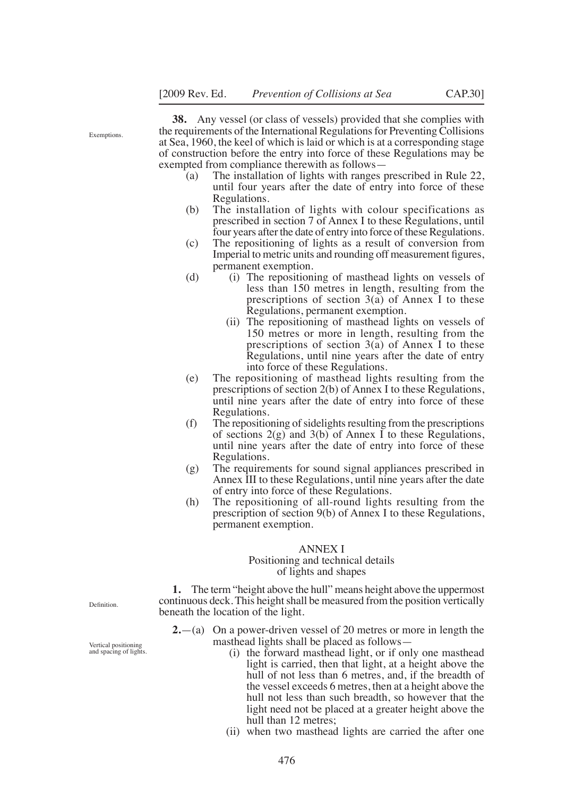**38.** Any vessel (or class of vessels) provided that she complies with the requirements of the International Regulations for Preventing Collisions at Sea, 1960, the keel of which is laid or which is at a corresponding stage of construction before the entry into force of these Regulations may be exempted from compliance therewith as follows—

- (a) The installation of lights with ranges prescribed in Rule 22, until four years after the date of entry into force of these Regulations.
- (b) The installation of lights with colour specifications as prescribed in section 7 of Annex I to these Regulations, until four years after the date of entry into force of these Regulations.
- (c) The repositioning of lights as a result of conversion from Imperial to metric units and rounding off measurement figures, permanent exemption.
- (d) (i) The repositioning of masthead lights on vessels of less than 150 metres in length, resulting from the prescriptions of section 3(a) of Annex I to these Regulations, permanent exemption.
	- (ii) The repositioning of masthead lights on vessels of 150 metres or more in length, resulting from the prescriptions of section  $3(a)$  of Annex I to these Regulations, until nine years after the date of entry into force of these Regulations.
- (e) The repositioning of masthead lights resulting from the prescriptions of section 2(b) of Annex I to these Regulations, until nine years after the date of entry into force of these Regulations.
- (f) The repositioning of sidelights resulting from the prescriptions of sections  $2(g)$  and  $3(b)$  of Annex I to these Regulations, until nine years after the date of entry into force of these Regulations.
- (g) The requirements for sound signal appliances prescribed in Annex III to these Regulations, until nine years after the date of entry into force of these Regulations.
- (h) The repositioning of all-round lights resulting from the prescription of section 9(b) of Annex I to these Regulations, permanent exemption.

#### ANNEX I

#### Positioning and technical details of lights and shapes

**1.** The term "height above the hull" means height above the uppermost continuous deck. This height shall be measured from the position vertically beneath the location of the light.

- **2.**—(a) On a power-driven vessel of 20 metres or more in length the masthead lights shall be placed as follows—
	- (i) the forward masthead light, or if only one masthead light is carried, then that light, at a height above the hull of not less than 6 metres, and, if the breadth of the vessel exceeds 6 metres, then at a height above the hull not less than such breadth, so however that the light need not be placed at a greater height above the hull than 12 metres;
	- (ii) when two masthead lights are carried the after one

Definition.

Exemptions.

Vertical positioning and spacing of lights.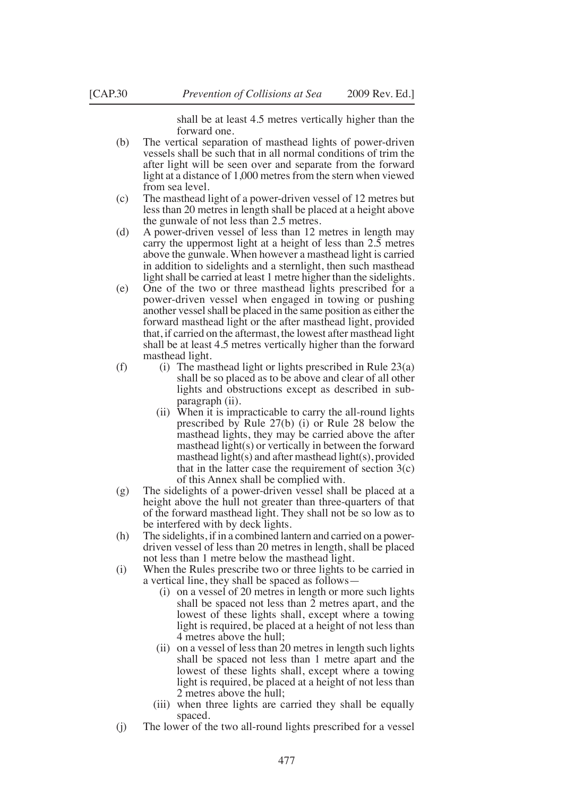shall be at least 4.5 metres vertically higher than the forward one.

- (b) The vertical separation of masthead lights of power-driven vessels shall be such that in all normal conditions of trim the after light will be seen over and separate from the forward light at a distance of 1,000 metres from the stern when viewed from sea level.
- (c) The masthead light of a power-driven vessel of 12 metres but less than 20 metres in length shall be placed at a height above the gunwale of not less than 2.5 metres.
- (d) A power-driven vessel of less than 12 metres in length may carry the uppermost light at a height of less than 2.5 metres above the gunwale. When however a masthead light is carried in addition to sidelights and a sternlight, then such masthead light shall be carried at least 1 metre higher than the sidelights.
- (e) One of the two or three masthead lights prescribed for a power-driven vessel when engaged in towing or pushing another vessel shall be placed in the same position as either the forward masthead light or the after masthead light, provided that, if carried on the aftermast, the lowest after masthead light shall be at least 4.5 metres vertically higher than the forward masthead light.
- (f) (i) The masthead light or lights prescribed in Rule  $23(a)$ shall be so placed as to be above and clear of all other lights and obstructions except as described in subparagraph (ii).
	- (ii) When it is impracticable to carry the all-round lights prescribed by Rule 27(b) (i) or Rule 28 below the masthead lights, they may be carried above the after masthead light(s) or vertically in between the forward masthead light(s) and after masthead light(s), provided that in the latter case the requirement of section  $3(c)$ of this Annex shall be complied with.
- (g) The sidelights of a power-driven vessel shall be placed at a height above the hull not greater than three-quarters of that of the forward masthead light. They shall not be so low as to be interfered with by deck lights.
- (h) The sidelights, if in a combined lantern and carried on a powerdriven vessel of less than 20 metres in length, shall be placed not less than 1 metre below the masthead light.
- (i) When the Rules prescribe two or three lights to be carried in a vertical line, they shall be spaced as follows—
	- (i) on a vessel of 20 metres in length or more such lights shall be spaced not less than 2 metres apart, and the lowest of these lights shall, except where a towing light is required, be placed at a height of not less than 4 metres above the hull;
	- (ii) on a vessel of less than 20 metres in length such lights shall be spaced not less than 1 metre apart and the lowest of these lights shall, except where a towing light is required, be placed at a height of not less than 2 metres above the hull;
	- (iii) when three lights are carried they shall be equally spaced.
- (j) The lower of the two all-round lights prescribed for a vessel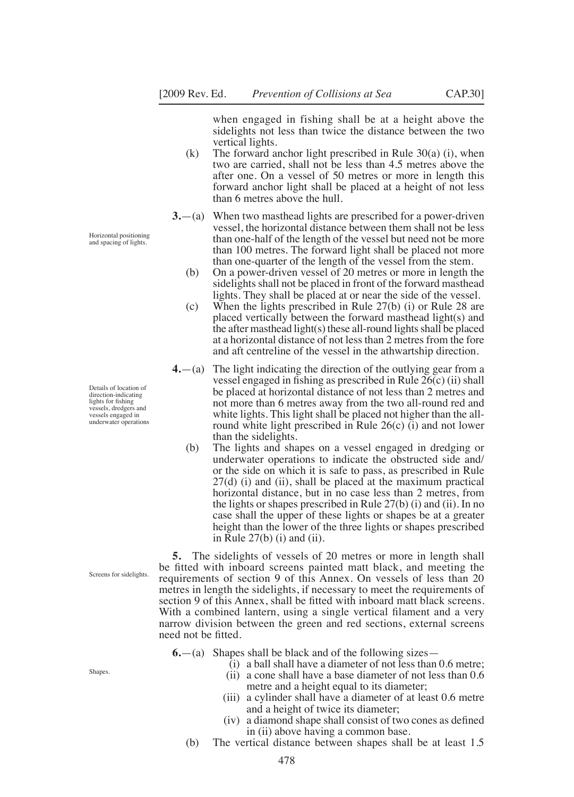when engaged in fishing shall be at a height above the sidelights not less than twice the distance between the two vertical lights.

- (k) The forward anchor light prescribed in Rule 30(a) (i), when two are carried, shall not be less than 4.5 metres above the after one. On a vessel of 50 metres or more in length this forward anchor light shall be placed at a height of not less than 6 metres above the hull.
- **3.**—(a) When two masthead lights are prescribed for a power-driven vessel, the horizontal distance between them shall not be less than one-half of the length of the vessel but need not be more than 100 metres. The forward light shall be placed not more than one-quarter of the length of the vessel from the stem.
	- (b) On a power-driven vessel of 20 metres or more in length the sidelights shall not be placed in front of the forward masthead lights. They shall be placed at or near the side of the vessel.
	- (c) When the lights prescribed in Rule 27(b) (i) or Rule 28 are placed vertically between the forward masthead light(s) and the after masthead light(s) these all-round lights shall be placed at a horizontal distance of not less than 2 metres from the fore and aft centreline of the vessel in the athwartship direction.
- **4.**—(a) The light indicating the direction of the outlying gear from a vessel engaged in fishing as prescribed in Rule  $26(c)$  (ii) shall be placed at horizontal distance of not less than 2 metres and not more than 6 metres away from the two all-round red and white lights. This light shall be placed not higher than the allround white light prescribed in Rule 26(c) (i) and not lower than the sidelights.
	- (b) The lights and shapes on a vessel engaged in dredging or underwater operations to indicate the obstructed side and/ or the side on which it is safe to pass, as prescribed in Rule 27(d) (i) and (ii), shall be placed at the maximum practical horizontal distance, but in no case less than 2 metres, from the lights or shapes prescribed in Rule 27(b) (i) and (ii). In no case shall the upper of these lights or shapes be at a greater height than the lower of the three lights or shapes prescribed in Rule 27(b) (i) and (ii).

**5.** The sidelights of vessels of 20 metres or more in length shall be fitted with inboard screens painted matt black, and meeting the requirements of section 9 of this Annex. On vessels of less than 20 metres in length the sidelights, if necessary to meet the requirements of section 9 of this Annex, shall be fitted with inboard matt black screens. With a combined lantern, using a single vertical filament and a very narrow division between the green and red sections, external screens need not be fitted.

**6.**—(a) Shapes shall be black and of the following sizes—

- (i) a ball shall have a diameter of not less than 0.6 metre;
	- (ii) a cone shall have a base diameter of not less than 0.6 metre and a height equal to its diameter;
- (iii) a cylinder shall have a diameter of at least 0.6 metre and a height of twice its diameter;
- $(iv)$  a diamond shape shall consist of two cones as defined in (ii) above having a common base.
- (b) The vertical distance between shapes shall be at least 1.5

Horizontal positioning and spacing of lights.

Details of location of direction-indicating lights for ishing vessels, dredgers and vessels engaged in underwater operations

Screens for sidelights.

Shapes.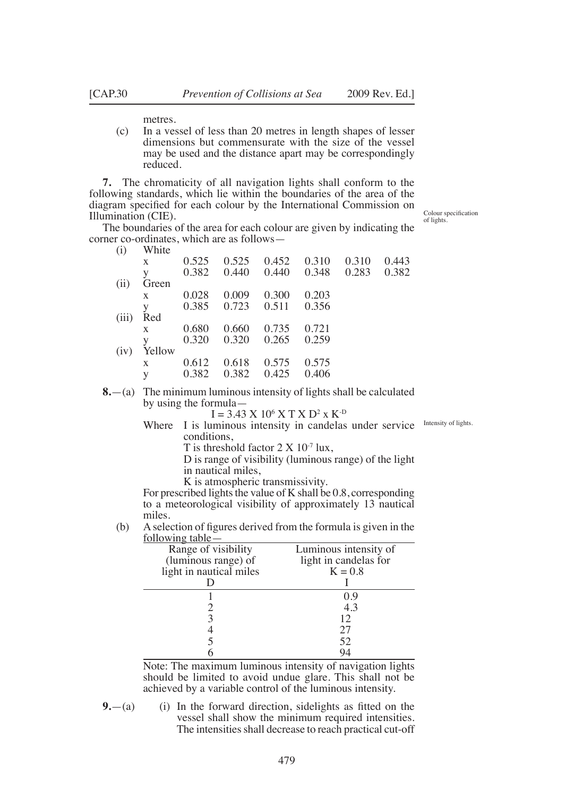metres.

(c) In a vessel of less than 20 metres in length shapes of lesser dimensions but commensurate with the size of the vessel may be used and the distance apart may be correspondingly reduced.

**7.** The chromaticity of all navigation lights shall conform to the following standards, which lie within the boundaries of the area of the diagram speciied for each colour by the International Commission on Illumination (CIE).

The boundaries of the area for each colour are given by indicating the corner co-ordinates, which are as follows—

| (i)   | White  |       |       |       |       |       |       |
|-------|--------|-------|-------|-------|-------|-------|-------|
|       | X      | 0.525 | 0.525 | 0.452 | 0.310 | 0.310 | 0.443 |
|       | y      | 0.382 | 0.440 | 0.440 | 0.348 | 0.283 | 0.382 |
| (ii)  | Green  |       |       |       |       |       |       |
|       | X      | 0.028 | 0.009 | 0.300 | 0.203 |       |       |
|       | y      | 0.385 | 0.723 | 0.511 | 0.356 |       |       |
| (iii) | Red    |       |       |       |       |       |       |
|       | X      | 0.680 | 0.660 | 0.735 | 0.721 |       |       |
|       | y      | 0.320 | 0.320 | 0.265 | 0.259 |       |       |
| (iv)  | Yellow |       |       |       |       |       |       |
|       | X      | 0.612 | 0.618 | 0.575 | 0.575 |       |       |
|       | V      | 0.382 | 0.382 | 0.425 | 0.406 |       |       |
|       |        |       |       |       |       |       |       |

**8.**—(a) The minimum luminous intensity of lights shall be calculated by using the formula—

 $I = 3.43 \text{ X} 10^6 \text{ X T X D}^2 \text{ X K}^{-D}$ 

Where I is luminous intensity in candelas under service conditions,

T is threshold factor  $2 \times 10^{-7}$  lux,

 D is range of visibility (luminous range) of the light in nautical miles,

K is atmospheric transmissivity.

 For prescribed lights the value of K shall be 0.8, corresponding to a meteorological visibility of approximately 13 nautical miles.

(b) A selection of igures derived from the formula is given in the following table—

| $1.0110$ $1.115$ $1.0101$ |                       |
|---------------------------|-----------------------|
| Range of visibility       | Luminous intensity of |
| (luminous range) of       | light in candelas for |
| light in nautical miles   | $K = 0.8$             |
|                           |                       |
|                           | 0.9                   |
|                           | 4.3                   |
|                           | 12                    |
|                           | 27                    |
|                           | 52                    |
|                           |                       |
|                           |                       |

 Note: The maximum luminous intensity of navigation lights should be limited to avoid undue glare. This shall not be achieved by a variable control of the luminous intensity.

**9.**—(a) (i) In the forward direction, sidelights as fitted on the vessel shall show the minimum required intensities. The intensities shall decrease to reach practical cut-off

Colour specification of lights.

Intensity of lights.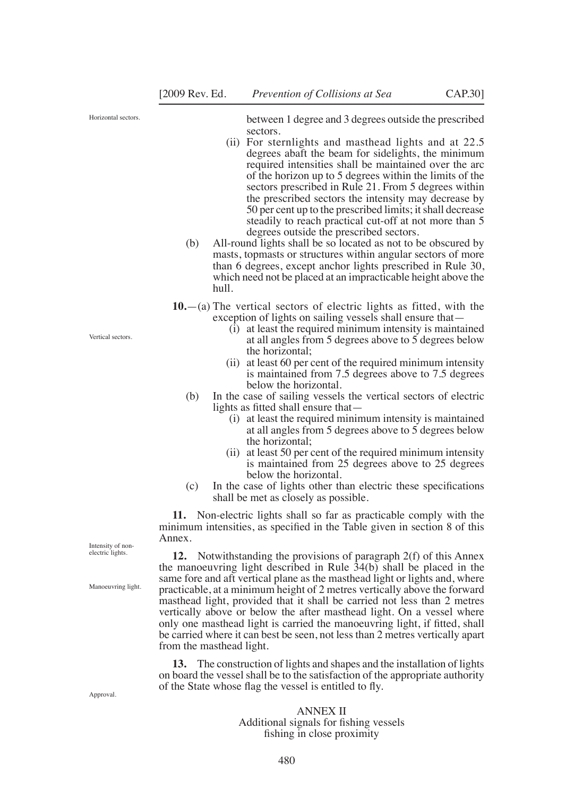Horizontal sectors.

between 1 degree and 3 degrees outside the prescribed sectors.

- (ii) For sternlights and masthead lights and at 22.5 degrees abaft the beam for sidelights, the minimum required intensities shall be maintained over the arc of the horizon up to 5 degrees within the limits of the sectors prescribed in Rule 21. From 5 degrees within the prescribed sectors the intensity may decrease by 50 per cent up to the prescribed limits; it shall decrease steadily to reach practical cut-off at not more than 5 degrees outside the prescribed sectors.
- (b) All-round lights shall be so located as not to be obscured by masts, topmasts or structures within angular sectors of more than 6 degrees, except anchor lights prescribed in Rule 30, which need not be placed at an impracticable height above the hull.
- **10.**—(a) The vertical sectors of electric lights as fitted, with the exception of lights on sailing vessels shall ensure that—
	- (i) at least the required minimum intensity is maintained at all angles from 5 degrees above to 5 degrees below the horizontal;
	- (ii) at least 60 per cent of the required minimum intensity is maintained from 7.5 degrees above to 7.5 degrees below the horizontal.
	- (b) In the case of sailing vessels the vertical sectors of electric lights as fitted shall ensure that—
		- (i) at least the required minimum intensity is maintained at all angles from 5 degrees above to 5 degrees below the horizontal;
		- (ii) at least 50 per cent of the required minimum intensity is maintained from 25 degrees above to 25 degrees below the horizontal.
	- (c) In the case of lights other than electric these speciications shall be met as closely as possible.

**11.** Non-electric lights shall so far as practicable comply with the minimum intensities, as specified in the Table given in section 8 of this Annex.

**12.** Notwithstanding the provisions of paragraph 2(f) of this Annex the manoeuvring light described in Rule  $34(b)$  shall be placed in the same fore and aft vertical plane as the masthead light or lights and, where practicable, at a minimum height of 2 metres vertically above the forward masthead light, provided that it shall be carried not less than 2 metres vertically above or below the after masthead light. On a vessel where only one masthead light is carried the manoeuvring light, if itted, shall be carried where it can best be seen, not less than 2 metres vertically apart from the masthead light.

**13.** The construction of lights and shapes and the installation of lights on board the vessel shall be to the satisfaction of the appropriate authority of the State whose flag the vessel is entitled to fly.

> ANNEX II Additional signals for fishing vessels fishing in close proximity

Intensity of nonelectric lights.

Vertical sectors.

Manoeuvring light.

Approval.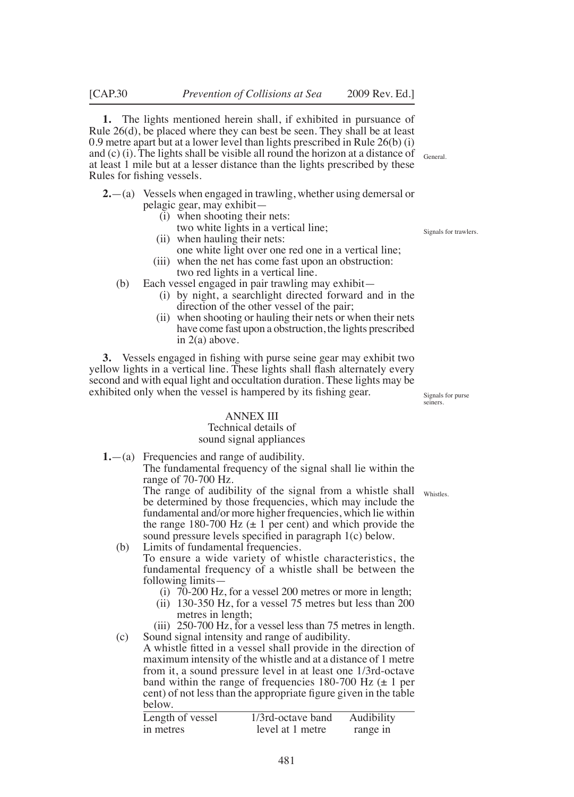**1.** The lights mentioned herein shall, if exhibited in pursuance of Rule 26(d), be placed where they can best be seen. They shall be at least 0.9 metre apart but at a lower level than lights prescribed in Rule 26(b) (i) and (c) (i). The lights shall be visible all round the horizon at a distance of at least 1 mile but at a lesser distance than the lights prescribed by these Rules for fishing vessels.

- **2.**—(a) Vessels when engaged in trawling, whether using demersal or pelagic gear, may exhibit—
	- (i) when shooting their nets:
		- two white lights in a vertical line;
	- (ii) when hauling their nets:
	- one white light over one red one in a vertical line; (iii) when the net has come fast upon an obstruction: two red lights in a vertical line.
	- (b) Each vessel engaged in pair trawling may exhibit—
		- (i) by night, a searchlight directed forward and in the direction of the other vessel of the pair;
		- (ii) when shooting or hauling their nets or when their nets have come fast upon a obstruction, the lights prescribed in 2(a) above.

**3.** Vessels engaged in fishing with purse seine gear may exhibit two yellow lights in a vertical line. These lights shall flash alternately every second and with equal light and occultation duration. These lights may be exhibited only when the vessel is hampered by its fishing gear.

#### ANNEX III

#### Technical details of sound signal appliances

**1.**—(a) Frequencies and range of audibility.

 The fundamental frequency of the signal shall lie within the range of 70-700 Hz.

 The range of audibility of the signal from a whistle shall be determined by those frequencies, which may include the fundamental and/or more higher frequencies, which lie within the range 180-700 Hz  $(\pm 1$  per cent) and which provide the sound pressure levels specified in paragraph 1(c) below.

- (b) Limits of fundamental frequencies. To ensure a wide variety of whistle characteristics, the fundamental frequency of a whistle shall be between the following limits—
	- (i) 70-200 Hz, for a vessel 200 metres or more in length;
	- (ii) 130-350 Hz, for a vessel 75 metres but less than 200 metres in length;
- (iii) 250-700 Hz, for a vessel less than 75 metres in length. (c) Sound signal intensity and range of audibility.

A whistle fitted in a vessel shall provide in the direction of maximum intensity of the whistle and at a distance of 1 metre from it, a sound pressure level in at least one 1/3rd-octave band within the range of frequencies 180-700 Hz  $(\pm 1$  per cent) of not less than the appropriate figure given in the table below.

| Length of vessel | $1/3$ rd-octave band | Audibility |
|------------------|----------------------|------------|
| in metres        | level at 1 metre     | range in   |

Signals for trawlers.

General.

Signals for purse seiners.

Whistles.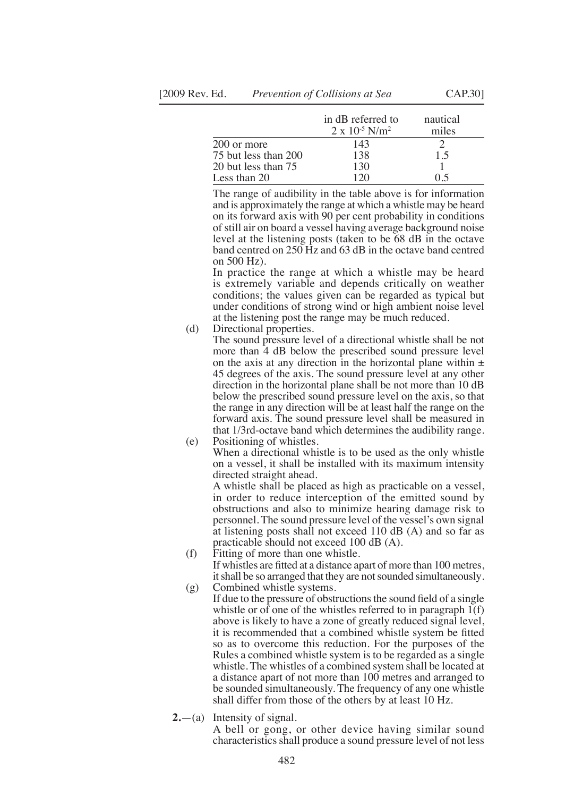|                      | in dB referred to<br>$2 \times 10^{-5}$ N/m <sup>2</sup> | nautical<br>miles |
|----------------------|----------------------------------------------------------|-------------------|
| 200 or more          | 143                                                      |                   |
| 75 but less than 200 | 138                                                      | 15                |
| 20 but less than 75  | 130                                                      |                   |
| Less than 20         |                                                          | $\cup$ 5          |

 The range of audibility in the table above is for information and is approximately the range at which a whistle may be heard on its forward axis with 90 per cent probability in conditions of still air on board a vessel having average background noise level at the listening posts (taken to be 68 dB in the octave band centred on 250 Hz and 63 dB in the octave band centred on 500 Hz).

 In practice the range at which a whistle may be heard is extremely variable and depends critically on weather conditions; the values given can be regarded as typical but under conditions of strong wind or high ambient noise level at the listening post the range may be much reduced.

(d) Directional properties.

 The sound pressure level of a directional whistle shall be not more than 4 dB below the prescribed sound pressure level on the axis at any direction in the horizontal plane within  $\pm$ 45 degrees of the axis. The sound pressure level at any other direction in the horizontal plane shall be not more than 10 dB below the prescribed sound pressure level on the axis, so that the range in any direction will be at least half the range on the forward axis. The sound pressure level shall be measured in that 1/3rd-octave band which determines the audibility range.

(e) Positioning of whistles. When a directional whistle is to be used as the only whistle on a vessel, it shall be installed with its maximum intensity directed straight ahead.

 A whistle shall be placed as high as practicable on a vessel, in order to reduce interception of the emitted sound by obstructions and also to minimize hearing damage risk to personnel. The sound pressure level of the vessel's own signal at listening posts shall not exceed 110 dB (A) and so far as practicable should not exceed 100 dB (A).

- (f) Fitting of more than one whistle. If whistles are fitted at a distance apart of more than 100 metres, it shall be so arranged that they are not sounded simultaneously.
- (g) Combined whistle systems. If due to the pressure of obstructions the sound field of a single whistle or of one of the whistles referred to in paragraph 1(f) above is likely to have a zone of greatly reduced signal level, it is recommended that a combined whistle system be fitted so as to overcome this reduction. For the purposes of the Rules a combined whistle system is to be regarded as a single whistle. The whistles of a combined system shall be located at a distance apart of not more than 100 metres and arranged to be sounded simultaneously. The frequency of any one whistle shall differ from those of the others by at least 10 Hz.
- **2.**—(a) Intensity of signal.

 A bell or gong, or other device having similar sound characteristics shall produce a sound pressure level of not less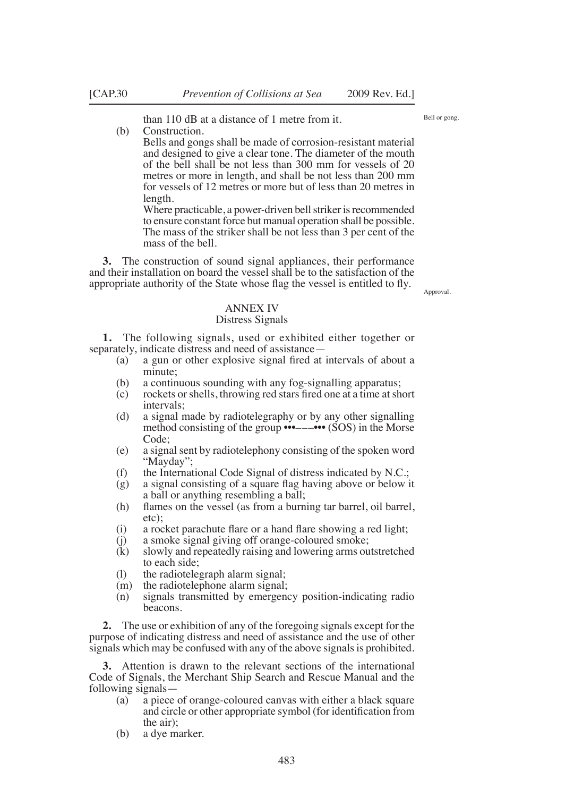than 110 dB at a distance of 1 metre from it.

Bell or gong.

(b) Construction.

 Bells and gongs shall be made of corrosion-resistant material and designed to give a clear tone. The diameter of the mouth of the bell shall be not less than 300 mm for vessels of 20 metres or more in length, and shall be not less than 200 mm for vessels of 12 metres or more but of less than 20 metres in length.

 Where practicable, a power-driven bell striker is recommended to ensure constant force but manual operation shall be possible. The mass of the striker shall be not less than 3 per cent of the mass of the bell.

**3.** The construction of sound signal appliances, their performance and their installation on board the vessel shall be to the satisfaction of the appropriate authority of the State whose flag the vessel is entitled to fly.

Approval.

# ANNEX IV

### Distress Signals

**1.** The following signals, used or exhibited either together or separately, indicate distress and need of assistance—

- (a) a gun or other explosive signal fired at intervals of about a minute;
- (b) a continuous sounding with any fog-signalling apparatus;
- (c) rockets or shells, throwing red stars ired one at a time at short intervals;
- (d) a signal made by radiotelegraphy or by any other signalling method consisting of the group •••–––••• (SOS) in the Morse Code;
- (e) a signal sent by radiotelephony consisting of the spoken word "Mayday";
- (f) the International Code Signal of distress indicated by N.C.;
- (g) a signal consisting of a square lag having above or below it a ball or anything resembling a ball;
- (h) flames on the vessel (as from a burning tar barrel, oil barrel, etc);
- (i) a rocket parachute flare or a hand flare showing a red light;
- (j) a smoke signal giving off orange-coloured smoke;<br>(k) slowly and repeatedly raising and lowering arms ou
- slowly and repeatedly raising and lowering arms outstretched to each side;
- (1) the radiotelegraph alarm signal;<br>(m) the radiotelephone alarm signal;
- the radiotelephone alarm signal;
- (n) signals transmitted by emergency position-indicating radio beacons.

**2.** The use or exhibition of any of the foregoing signals except for the purpose of indicating distress and need of assistance and the use of other signals which may be confused with any of the above signals is prohibited.

**3.** Attention is drawn to the relevant sections of the international Code of Signals, the Merchant Ship Search and Rescue Manual and the following signals—

- (a) a piece of orange-coloured canvas with either a black square and circle or other appropriate symbol (for identification from the air);
- (b) a dye marker.